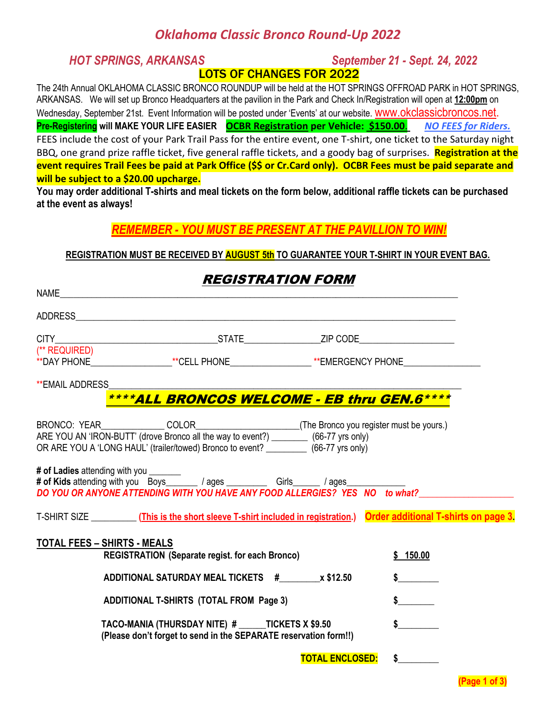### *Oklahoma Classic Bronco Round-Up 2022*

*HOT SPRINGS, ARKANSAS September 21 - Sept. 24, 2022* LOTS OF CHANGES FOR 2022

The 24th Annual OKLAHOMA CLASSIC BRONCO ROUNDUP will be held at the HOT SPRINGS OFFROAD PARK in HOT SPRINGS, ARKANSAS. We will set up Bronco Headquarters at the pavilion in the Park and Check In/Registration will open at **12:00pm** on Wednesday, September 21st. Event Information will be posted under 'Events' at our website. WWW.OKClassicbroncos.net. **Pre-Registering will MAKE YOUR LIFE EASIER OCBR Registration per Vehicle: \$150.00**. *NO FEES for Riders.* FEES include the cost of your Park Trail Pass for the entire event, one T-shirt, one ticket to the Saturday night BBQ, one grand prize raffle ticket, five general raffle tickets, and a goody bag of surprises. **Registration at the event requires Trail Fees be paid at Park Office (\$\$ or Cr.Card only). OCBR Fees must be paid separate and will be subject to a \$20.00 upcharge.**

**You may order additional T-shirts and meal tickets on the form below, additional raffle tickets can be purchased at the event as always!** 

#### *REMEMBER - YOU MUST BE PRESENT AT THE PAVILLION TO WIN!*

#### **REGISTRATION MUST BE RECEIVED BY AUGUST 5th TO GUARANTEE YOUR T-SHIRT IN YOUR EVENT BAG.**

REGISTRATION FORM

|                                                                                                                                                                                    | <i><b>REGISTRATION FORM</b></i>                                                                                                                                                                                                |                                  |  |
|------------------------------------------------------------------------------------------------------------------------------------------------------------------------------------|--------------------------------------------------------------------------------------------------------------------------------------------------------------------------------------------------------------------------------|----------------------------------|--|
|                                                                                                                                                                                    | NAME And the state of the state of the state of the state of the state of the state of the state of the state of the state of the state of the state of the state of the state of the state of the state of the state of the s |                                  |  |
|                                                                                                                                                                                    |                                                                                                                                                                                                                                |                                  |  |
|                                                                                                                                                                                    |                                                                                                                                                                                                                                |                                  |  |
| (** REQUIRED)                                                                                                                                                                      | **DAY PHONE___________________**CELL PHONE__________________**EMERGENCY PHONE______________________                                                                                                                            |                                  |  |
| <b>**EMAIL ADDRESS</b>                                                                                                                                                             |                                                                                                                                                                                                                                |                                  |  |
|                                                                                                                                                                                    | ****ALL BRONCOS WELCOME - EB thru GEN.6****                                                                                                                                                                                    |                                  |  |
| ARE YOU AN 'IRON-BUTT' (drove Bronco all the way to event?) ___________ (66-77 yrs only)<br>OR ARE YOU A 'LONG HAUL' (trailer/towed) Bronco to event? ___________ (66-77 yrs only) |                                                                                                                                                                                                                                |                                  |  |
|                                                                                                                                                                                    | DO YOU OR ANYONE ATTENDING WITH YOU HAVE ANY FOOD ALLERGIES? YES NO to what?                                                                                                                                                   |                                  |  |
|                                                                                                                                                                                    | T-SHIRT SIZE ___________(This is the short sleeve T-shirt included in registration.) Order additional T-shirts on page 3.                                                                                                      |                                  |  |
|                                                                                                                                                                                    | <b>TOTAL FEES - SHIRTS - MEALS</b>                                                                                                                                                                                             |                                  |  |
|                                                                                                                                                                                    | <b>REGISTRATION (Separate regist. for each Bronco)</b>                                                                                                                                                                         | \$150.00                         |  |
|                                                                                                                                                                                    | ADDITIONAL SATURDAY MEAL TICKETS # x \$12.50                                                                                                                                                                                   | $\sim$                           |  |
|                                                                                                                                                                                    | <b>ADDITIONAL T-SHIRTS (TOTAL FROM Page 3)</b>                                                                                                                                                                                 | $\sim$                           |  |
|                                                                                                                                                                                    | TACO-MANIA (THURSDAY NITE) # ______ TICKETS X \$9.50<br>(Please don't forget to send in the SEPARATE reservation form!!)                                                                                                       | $\frac{1}{2}$                    |  |
|                                                                                                                                                                                    |                                                                                                                                                                                                                                | $\sim$<br><b>TOTAL ENCLOSED:</b> |  |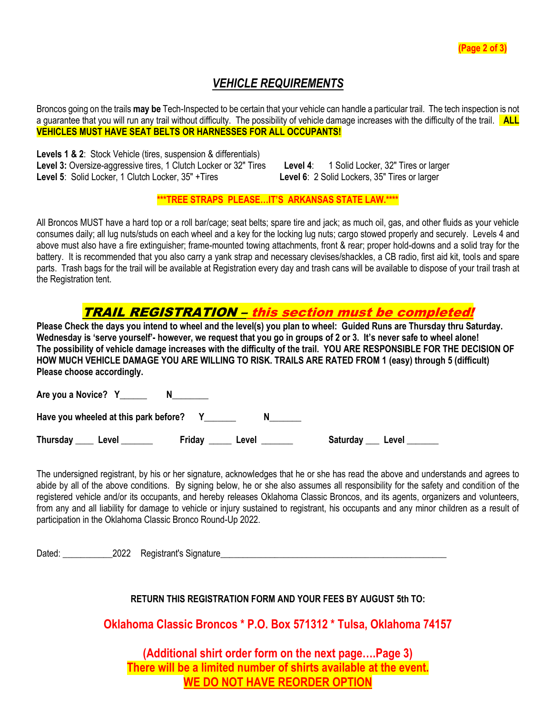#### *VEHICLE REQUIREMENTS*

Broncos going on the trails **may be** Tech-Inspected to be certain that your vehicle can handle a particular trail. The tech inspection is not a guarantee that you will run any trail without difficulty. The possibility of vehicle damage increases with the difficulty of the trail. **ALL VEHICLES MUST HAVE SEAT BELTS OR HARNESSES FOR ALL OCCUPANTS!**

**Levels 1 & 2**: Stock Vehicle (tires, suspension & differentials) **Level 3:** Oversize-aggressive tires, 1 Clutch Locker or 32" Tires **Level 4**: 1 Solid Locker, 32" Tires or larger **Level 5**: Solid Locker, 1 Clutch Locker, 35" +Tires **Level 6**: 2 Solid Lockers, 35" Tires or larger

**\*\*\*TREE STRAPS PLEASE…IT'S ARKANSAS STATE LAW.\*\*\*\***

All Broncos MUST have a hard top or a roll bar/cage; seat belts; spare tire and jack; as much oil, gas, and other fluids as your vehicle consumes daily; all lug nuts/studs on each wheel and a key for the locking lug nuts; cargo stowed properly and securely. Levels 4 and above must also have a fire extinguisher; frame-mounted towing attachments, front & rear; proper hold-downs and a solid tray for the battery. It is recommended that you also carry a yank strap and necessary clevises/shackles, a CB radio, first aid kit, tools and spare parts. Trash bags for the trail will be available at Registration every day and trash cans will be available to dispose of your trail trash at the Registration tent.

#### TRAIL REGISTRATION – this section must be completed!

**Please Check the days you intend to wheel and the level(s) you plan to wheel: Guided Runs are Thursday thru Saturday. Wednesday is 'serve yourself'- however, we request that you go in groups of 2 or 3. It's never safe to wheel alone! The possibility of vehicle damage increases with the difficulty of the trail. YOU ARE RESPONSIBLE FOR THE DECISION OF HOW MUCH VEHICLE DAMAGE YOU ARE WILLING TO RISK. TRAILS ARE RATED FROM 1 (easy) through 5 (difficult) Please choose accordingly.**

**Are you a Novice? Y\_\_\_\_\_\_ N\_\_\_\_\_\_\_\_**

**Have you wheeled at this park before? Y\_\_\_\_\_\_\_ N\_\_\_\_\_\_\_**

Thursday \_\_\_\_ Level \_\_\_\_\_\_\_ Friday \_\_\_\_\_ Level \_\_\_\_\_\_ Saturday \_\_\_ Level \_\_\_\_\_\_\_

The undersigned registrant, by his or her signature, acknowledges that he or she has read the above and understands and agrees to abide by all of the above conditions. By signing below, he or she also assumes all responsibility for the safety and condition of the registered vehicle and/or its occupants, and hereby releases Oklahoma Classic Broncos, and its agents, organizers and volunteers, from any and all liability for damage to vehicle or injury sustained to registrant, his occupants and any minor children as a result of participation in the Oklahoma Classic Bronco Round-Up 2022.

Dated:  $2022$  Registrant's Signature

**RETURN THIS REGISTRATION FORM AND YOUR FEES BY AUGUST 5th TO:** 

**Oklahoma Classic Broncos \* P.O. Box 571312 \* Tulsa, Oklahoma 74157** 

**(Additional shirt order form on the next page….Page 3) There will be a limited number of shirts available at the event. WE DO NOT HAVE REORDER OPTION**